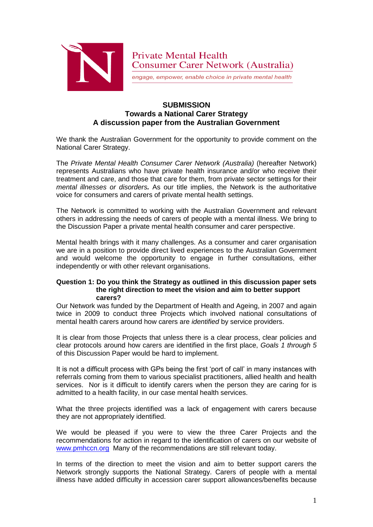

engage, empower, enable choice in private mental health

# **SUBMISSION Towards a National Carer Strategy A discussion paper from the Australian Government**

We thank the Australian Government for the opportunity to provide comment on the National Carer Strategy.

The *Private Mental Health Consumer Carer Network (Australia)* (hereafter Network) represents Australians who have private health insurance and/or who receive their treatment and care, and those that care for them, from private sector settings for their *mental illnesses or disorders.* As our title implies, the Network is the authoritative voice for consumers and carers of private mental health settings.

The Network is committed to working with the Australian Government and relevant others in addressing the needs of carers of people with a mental illness. We bring to the Discussion Paper a private mental health consumer and carer perspective.

Mental health brings with it many challenges. As a consumer and carer organisation we are in a position to provide direct lived experiences to the Australian Government and would welcome the opportunity to engage in further consultations, either independently or with other relevant organisations.

## **Question 1: Do you think the Strategy as outlined in this discussion paper sets the right direction to meet the vision and aim to better support carers?**

Our Network was funded by the Department of Health and Ageing, in 2007 and again twice in 2009 to conduct three Projects which involved national consultations of mental health carers around how carers are *identified* by service providers.

It is clear from those Projects that unless there is a clear process, clear policies and clear protocols around how carers are identified in the first place, *Goals 1 through 5* of this Discussion Paper would be hard to implement.

It is not a difficult process with GPs being the first 'port of call' in many instances with referrals coming from them to various specialist practitioners, allied health and health services. Nor is it difficult to identify carers when the person they are caring for is admitted to a health facility, in our case mental health services.

What the three projects identified was a lack of engagement with carers because they are not appropriately identified.

We would be pleased if you were to view the three Carer Projects and the recommendations for action in regard to the identification of carers on our website of [www.pmhccn.org](http://www.pmhccn.org/) Many of the recommendations are still relevant today.

In terms of the direction to meet the vision and aim to better support carers the Network strongly supports the National Strategy. Carers of people with a mental illness have added difficulty in accession carer support allowances/benefits because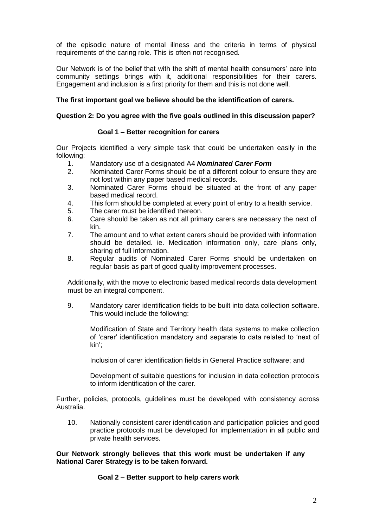of the episodic nature of mental illness and the criteria in terms of physical requirements of the caring role. This is often not recognised.

Our Network is of the belief that with the shift of mental health consumers' care into community settings brings with it, additional responsibilities for their carers. Engagement and inclusion is a first priority for them and this is not done well.

## **The first important goal we believe should be the identification of carers.**

### **Question 2: Do you agree with the five goals outlined in this discussion paper?**

#### **Goal 1 – Better recognition for carers**

Our Projects identified a very simple task that could be undertaken easily in the following:

- 1. Mandatory use of a designated A4 *Nominated Carer Form*
- 2. Nominated Carer Forms should be of a different colour to ensure they are not lost within any paper based medical records.
- 3. Nominated Carer Forms should be situated at the front of any paper based medical record.
- 4. This form should be completed at every point of entry to a health service.
- 5. The carer must be identified thereon.
- 6. Care should be taken as not all primary carers are necessary the next of kin.
- 7. The amount and to what extent carers should be provided with information should be detailed. ie. Medication information only, care plans only, sharing of full information.
- 8. Regular audits of Nominated Carer Forms should be undertaken on regular basis as part of good quality improvement processes.

Additionally, with the move to electronic based medical records data development must be an integral component.

9. Mandatory carer identification fields to be built into data collection software. This would include the following:

Modification of State and Territory health data systems to make collection of 'carer' identification mandatory and separate to data related to 'next of kin';

Inclusion of carer identification fields in General Practice software; and

Development of suitable questions for inclusion in data collection protocols to inform identification of the carer.

Further, policies, protocols, guidelines must be developed with consistency across Australia.

10. Nationally consistent carer identification and participation policies and good practice protocols must be developed for implementation in all public and private health services.

**Our Network strongly believes that this work must be undertaken if any National Carer Strategy is to be taken forward.**

#### **Goal 2 – Better support to help carers work**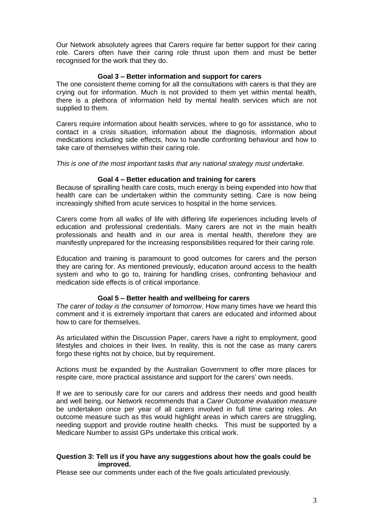Our Network absolutely agrees that Carers require far better support for their caring role. Carers often have their caring role thrust upon them and must be better recognised for the work that they do.

### **Goal 3 – Better information and support for carers**

The one consistent theme coming for all the consultations with carers is that they are crying out for information. Much is not provided to them yet within mental health, there is a plethora of information held by mental health services which are not supplied to them.

Carers require information about health services, where to go for assistance, who to contact in a crisis situation, information about the diagnosis, information about medications including side effects, how to handle confronting behaviour and how to take care of themselves within their caring role.

This is one of the most important tasks that any national strategy must undertake.

### **Goal 4 – Better education and training for carers**

Because of spiralling health care costs, much energy is being expended into how that health care can be undertaken within the community setting. Care is now being increasingly shifted from acute services to hospital in the home services.

Carers come from all walks of life with differing life experiences including levels of education and professional credentials. Many carers are not in the main health professionals and health and in our area is mental health, therefore they are manifestly unprepared for the increasing responsibilities required for their caring role.

Education and training is paramount to good outcomes for carers and the person they are caring for. As mentioned previously, education around access to the health system and who to go to, training for handling crises, confronting behaviour and medication side effects is of critical importance.

#### **Goal 5 – Better health and wellbeing for carers**

*The carer of today is the consumer of tomorrow*. How many times have we heard this comment and it is extremely important that carers are educated and informed about how to care for themselves.

As articulated within the Discussion Paper, carers have a right to employment, good lifestyles and choices in their lives. In reality, this is not the case as many carers forgo these rights not by choice, but by requirement.

Actions must be expanded by the Australian Government to offer more places for respite care, more practical assistance and support for the carers' own needs.

If we are to seriously care for our carers and address their needs and good health and well being, our Network recommends that a *Carer Outcome evaluation measure* be undertaken once per year of all carers involved in full time caring roles. An outcome measure such as this would highlight areas in which carers are struggling, needing support and provide routine health checks. This must be supported by a Medicare Number to assist GPs undertake this critical work.

### **Question 3: Tell us if you have any suggestions about how the goals could be improved.**

Please see our comments under each of the five goals articulated previously.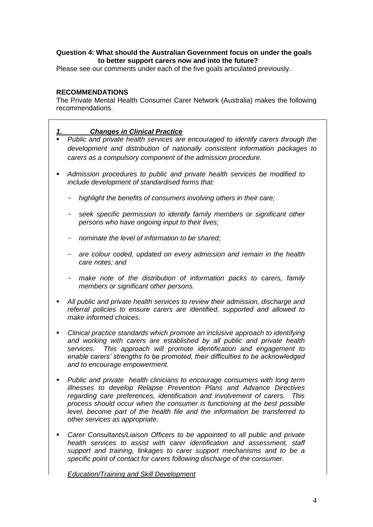## **Question 4: What should the Australian Government focus on under the goals to better support carers now and into the future?**

Please see our comments under each of the five goals articulated previously.

## **RECOMMENDATIONS**

The Private Mental Health Consumer Carer Network (Australia) makes the following recommendations.

## *1. Changes in Clinical Practice*

- *Public and private health services are encouraged to identify carers through the development and distribution of nationally consistent information packages to carers as a compulsory component of the admission procedure.*
- *Admission procedures to public and private health services be modified to include development of standardised forms that:*
	- *highlight the benefits of consumers involving others in their care;*
	- *seek specific permission to identify family members or significant other persons who have ongoing input to their lives;*
	- *nominate the level of information to be shared;*
	- *are colour coded, updated on every admission and remain in the health care notes; and*
	- *make note of the distribution of information packs to carers, family members or significant other persons.*
- *All public and private health services to review their admission, discharge and referral policies to ensure carers are identified, supported and allowed to make informed choices.*
- *Clinical practice standards which promote an inclusive approach to identifying and working with carers are established by all public and private health services. This approach will promote identification and engagement to enable carers' strengths to be promoted, their difficulties to be acknowledged and to encourage empowerment.*
- *Public and private health clinicians to encourage consumers with long term illnesses to develop Relapse Prevention Plans and Advance Directives regarding care preferences, identification and involvement of carers. This process should occur when the consumer is functioning at the best possible level, become part of the health file and the information be transferred to other services as appropriate.*
- *Carer Consultants/Liaison Officers to be appointed to all public and private health services to assist with carer identification and assessment, staff support and training, linkages to carer support mechanisms and to be a specific point of contact for carers following discharge of the consumer.*

*Education/Training and Skill Development*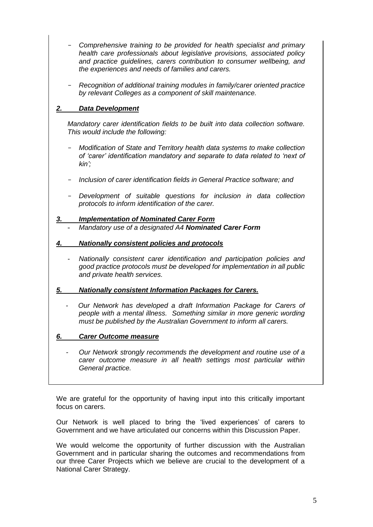- *Comprehensive training to be provided for health specialist and primary health care professionals about legislative provisions, associated policy and practice guidelines, carers contribution to consumer wellbeing, and the experiences and needs of families and carers.*
- *Recognition of additional training modules in family/carer oriented practice by relevant Colleges as a component of skill maintenance.*

# *2. Data Development*

*Mandatory carer identification fields to be built into data collection software. This would include the following:*

- *Modification of State and Territory health data systems to make collection of 'carer' identification mandatory and separate to data related to 'next of kin';*
- *Inclusion of carer identification fields in General Practice software; and*
- *Development of suitable questions for inclusion in data collection protocols to inform identification of the carer.*
- *3. Implementation of Nominated Carer Form*
	- *- Mandatory use of a designated A4 Nominated Carer Form*
- *4. Nationally consistent policies and protocols*
	- *- Nationally consistent carer identification and participation policies and good practice protocols must be developed for implementation in all public and private health services.*
- *5. Nationally consistent Information Packages for Carers.*
	- *Our Network has developed a draft Information Package for Carers of people with a mental illness. Something similar in more generic wording must be published by the Australian Government to inform all carers.*

## *6. Carer Outcome measure*

*Our Network strongly recommends the development and routine use of a carer outcome measure in all health settings most particular within General practice.*

We are grateful for the opportunity of having input into this critically important focus on carers.

Our Network is well placed to bring the 'lived experiences' of carers to Government and we have articulated our concerns within this Discussion Paper.

We would welcome the opportunity of further discussion with the Australian Government and in particular sharing the outcomes and recommendations from our three Carer Projects which we believe are crucial to the development of a National Carer Strategy.